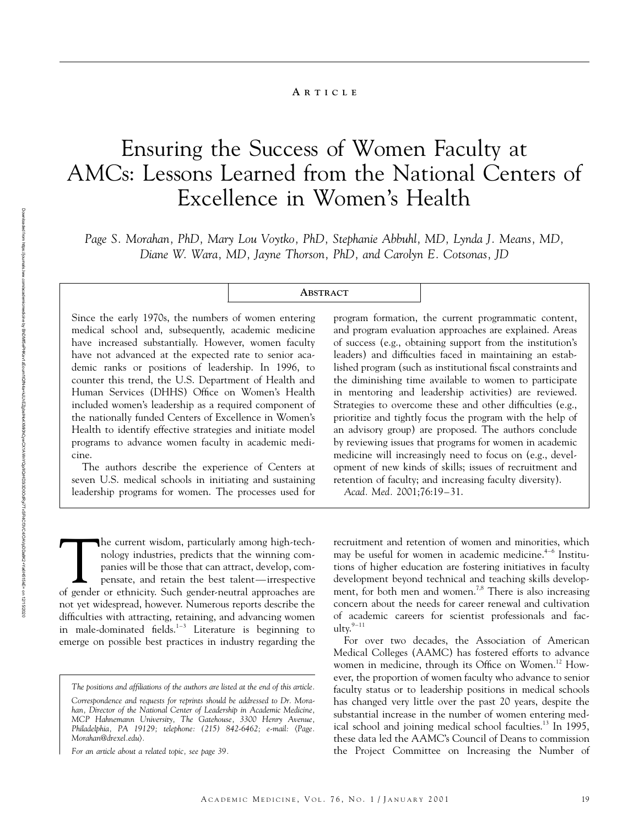# **A RTICLE**

# Ensuring the Success of Women Faculty at AMCs: Lessons Learned from the National Centers of Excellence in Women's Health

*Page S. Morahan, PhD, Mary Lou Voytko, PhD, Stephanie Abbuhl, MD, Lynda J. Means, MD, Diane W. Wara, MD, Jayne Thorson, PhD, and Carolyn E. Cotsonas, JD*

## **ABSTRACT**

Since the early 1970s, the numbers of women entering medical school and, subsequently, academic medicine have increased substantially. However, women faculty have not advanced at the expected rate to senior academic ranks or positions of leadership. In 1996, to counter this trend, the U.S. Department of Health and Human Services (DHHS) Office on Women's Health included women's leadership as a required component of the nationally funded Centers of Excellence in Women's Health to identify effective strategies and initiate model programs to advance women faculty in academic medicine.

The authors describe the experience of Centers at seven U.S. medical schools in initiating and sustaining leadership programs for women. The processes used for

The current wisdom, particularly among high-tech-<br>nology industries, predicts that the winning com-<br>panies will be those that can attract, develop, com-<br>pensate, and retain the best talent—irrespective<br>of gender or ethnici nology industries, predicts that the winning companies will be those that can attract, develop, compensate, and retain the best talent—irrespective not yet widespread, however. Numerous reports describe the difficulties with attracting, retaining, and advancing women in male-dominated fields. $1-3$  Literature is beginning to emerge on possible best practices in industry regarding the

program formation, the current programmatic content, and program evaluation approaches are explained. Areas of success (e.g., obtaining support from the institution's leaders) and difficulties faced in maintaining an established program (such as institutional fiscal constraints and the diminishing time available to women to participate in mentoring and leadership activities) are reviewed. Strategies to overcome these and other difficulties (e.g., prioritize and tightly focus the program with the help of an advisory group) are proposed. The authors conclude by reviewing issues that programs for women in academic medicine will increasingly need to focus on (e.g., development of new kinds of skills; issues of recruitment and retention of faculty; and increasing faculty diversity). *Acad. Med.* 2001;76:19–31.

recruitment and retention of women and minorities, which may be useful for women in academic medicine. $4-6$  Institutions of higher education are fostering initiatives in faculty development beyond technical and teaching skills development, for both men and women.<sup>7,8</sup> There is also increasing concern about the needs for career renewal and cultivation of academic careers for scientist professionals and fac $ultv.<sup>9-11</sup>$ 

For over two decades, the Association of American Medical Colleges (AAMC) has fostered efforts to advance women in medicine, through its Office on Women.<sup>12</sup> However, the proportion of women faculty who advance to senior faculty status or to leadership positions in medical schools has changed very little over the past 20 years, despite the substantial increase in the number of women entering medical school and joining medical school faculties.13 In 1995, these data led the AAMC's Council of Deans to commission the Project Committee on Increasing the Number of

*The positions and affiliations of the authors are listed at the end of this article.*

*Correspondence and requests for reprints should be addressed to Dr. Morahan, Director of the National Center of Leadership in Academic Medicine, MCP Hahnemann University, The Gatehouse, 3300 Henry Avenue, Philadelphia, PA 19129; telephone: (215) 842-6462; e-mail:* ^*Page.*  $M$ orahan@drexel.edu $\rangle$ .

*For an article about a related topic, see page 39.*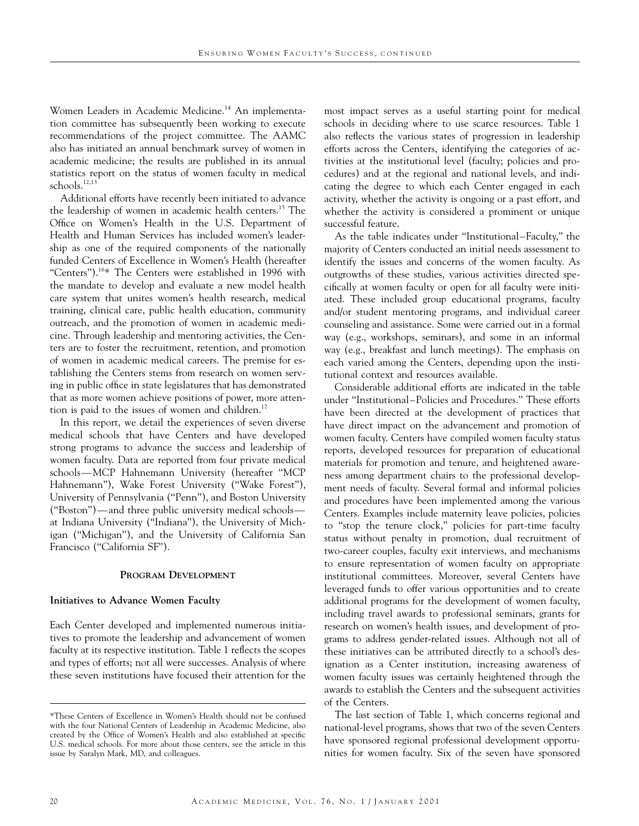Women Leaders in Academic Medicine.<sup>14</sup> An implementation committee has subsequently been working to execute recommendations of the project committee. The AAMC also has initiated an annual benchmark survey of women in academic medicine; the results are published in its annual statistics report on the status of women faculty in medical schools.<sup>12,13</sup>

Additional efforts have recently been initiated to advance the leadership of women in academic health centers.<sup>15</sup> The Office on Women's Health in the U.S. Department of Health and Human Services has included women's leadership as one of the required components of the nationally funded Centers of Excellence in Women's Health (hereafter ''Centers'').16\* The Centers were established in 1996 with the mandate to develop and evaluate a new model health care system that unites women's health research, medical training, clinical care, public health education, community outreach, and the promotion of women in academic medicine. Through leadership and mentoring activities, the Centers are to foster the recruitment, retention, and promotion of women in academic medical careers. The premise for establishing the Centers stems from research on women serving in public office in state legislatures that has demonstrated that as more women achieve positions of power, more attention is paid to the issues of women and children.<sup>17</sup>

In this report, we detail the experiences of seven diverse medical schools that have Centers and have developed strong programs to advance the success and leadership of women faculty. Data are reported from four private medical schools—MCP Hahnemann University (hereafter ''MCP Hahnemann''), Wake Forest University (''Wake Forest''), University of Pennsylvania (''Penn''), and Boston University (''Boston'')—and three public university medical schools at Indiana University (''Indiana''), the University of Michigan (''Michigan''), and the University of California San Francisco (''California SF'').

#### **PROGRAM DEVELOPMENT**

#### **Initiatives to Advance Women Faculty**

Each Center developed and implemented numerous initiatives to promote the leadership and advancement of women faculty at its respective institution. Table 1 reflects the scopes and types of efforts; not all were successes. Analysis of where these seven institutions have focused their attention for the

most impact serves as a useful starting point for medical schools in deciding where to use scarce resources. Table 1 also reflects the various states of progression in leadership efforts across the Centers, identifying the categories of activities at the institutional level (faculty; policies and procedures) and at the regional and national levels, and indicating the degree to which each Center engaged in each activity, whether the activity is ongoing or a past effort, and whether the activity is considered a prominent or unique successful feature.

As the table indicates under ''Institutional–Faculty,'' the majority of Centers conducted an initial needs assessment to identify the issues and concerns of the women faculty. As outgrowths of these studies, various activities directed specifically at women faculty or open for all faculty were initiated. These included group educational programs, faculty and/or student mentoring programs, and individual career counseling and assistance. Some were carried out in a formal way (e.g., workshops, seminars), and some in an informal way (e.g., breakfast and lunch meetings). The emphasis on each varied among the Centers, depending upon the institutional context and resources available.

Considerable additional efforts are indicated in the table under ''Institutional–Policies and Procedures.'' These efforts have been directed at the development of practices that have direct impact on the advancement and promotion of women faculty. Centers have compiled women faculty status reports, developed resources for preparation of educational materials for promotion and tenure, and heightened awareness among department chairs to the professional development needs of faculty. Several formal and informal policies and procedures have been implemented among the various Centers. Examples include maternity leave policies, policies to ''stop the tenure clock,'' policies for part-time faculty status without penalty in promotion, dual recruitment of two-career couples, faculty exit interviews, and mechanisms to ensure representation of women faculty on appropriate institutional committees. Moreover, several Centers have leveraged funds to offer various opportunities and to create additional programs for the development of women faculty, including travel awards to professional seminars, grants for research on women's health issues, and development of programs to address gender-related issues. Although not all of these initiatives can be attributed directly to a school's designation as a Center institution, increasing awareness of women faculty issues was certainly heightened through the awards to establish the Centers and the subsequent activities of the Centers.

The last section of Table 1, which concerns regional and national-level programs, shows that two of the seven Centers have sponsored regional professional development opportunities for women faculty. Six of the seven have sponsored

<sup>\*</sup>These Centers of Excellence in Women's Health should not be confused with the four National Centers of Leadership in Academic Medicine, also created by the Office of Women's Health and also established at specific U.S. medical schools. For more about those centers, see the article in this issue by Saralyn Mark, MD, and colleagues.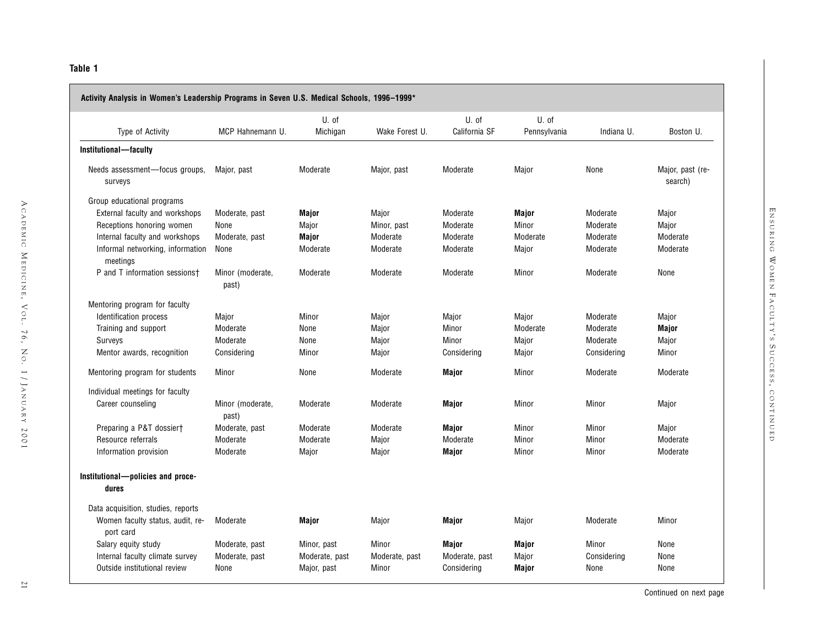## **Table 1**

| Activity Analysis in Women's Leadership Programs in Seven U.S. Medical Schools, 1996–1999* |                           |                |                |                |              |             |                             |
|--------------------------------------------------------------------------------------------|---------------------------|----------------|----------------|----------------|--------------|-------------|-----------------------------|
|                                                                                            |                           | U. of          |                | U. of          | U. of        |             |                             |
| Type of Activity                                                                           | MCP Hahnemann U.          | Michigan       | Wake Forest U. | California SF  | Pennsylvania | Indiana U.  | Boston U.                   |
| Institutional-faculty                                                                      |                           |                |                |                |              |             |                             |
| Needs assessment-focus groups,<br>surveys                                                  | Major, past               | Moderate       | Major, past    | Moderate       | Major        | None        | Major, past (re-<br>search) |
| Group educational programs                                                                 |                           |                |                |                |              |             |                             |
| External faculty and workshops                                                             | Moderate, past            | <b>Major</b>   | Major          | Moderate       | <b>Major</b> | Moderate    | Major                       |
| Receptions honoring women                                                                  | None                      | Major          | Minor, past    | Moderate       | Minor        | Moderate    | Major                       |
| Internal faculty and workshops                                                             | Moderate, past            | <b>Major</b>   | Moderate       | Moderate       | Moderate     | Moderate    | Moderate                    |
| Informal networking, information<br>meetings                                               | None                      | Moderate       | Moderate       | Moderate       | Major        | Moderate    | Moderate                    |
| P and T information sessionst                                                              | Minor (moderate,<br>past) | Moderate       | Moderate       | Moderate       | Minor        | Moderate    | None                        |
| Mentoring program for faculty                                                              |                           |                |                |                |              |             |                             |
| Identification process                                                                     | Major                     | Minor          | Major          | Major          | Major        | Moderate    | Major                       |
| Training and support                                                                       | Moderate                  | None           | Major          | Minor          | Moderate     | Moderate    | <b>Major</b>                |
| Surveys                                                                                    | Moderate                  | None           | Major          | Minor          | Major        | Moderate    | Major                       |
| Mentor awards, recognition                                                                 | Considering               | Minor          | Major          | Considering    | Major        | Considering | Minor                       |
| Mentoring program for students                                                             | Minor                     | None           | Moderate       | <b>Major</b>   | Minor        | Moderate    | Moderate                    |
| Individual meetings for faculty                                                            |                           |                |                |                |              |             |                             |
| Career counseling                                                                          | Minor (moderate,<br>past) | Moderate       | Moderate       | Major          | Minor        | Minor       | Major                       |
| Preparing a P&T dossier†                                                                   | Moderate, past            | Moderate       | Moderate       | <b>Major</b>   | Minor        | Minor       | Major                       |
| Resource referrals                                                                         | Moderate                  | Moderate       | Major          | Moderate       | Minor        | Minor       | Moderate                    |
| Information provision                                                                      | Moderate                  | Major          | Major          | <b>Major</b>   | Minor        | Minor       | Moderate                    |
| Institutional-policies and proce-<br>dures                                                 |                           |                |                |                |              |             |                             |
| Data acquisition, studies, reports                                                         |                           |                |                |                |              |             |                             |
| Women faculty status, audit, re-<br>port card                                              | Moderate                  | <b>Major</b>   | Major          | <b>Major</b>   | Major        | Moderate    | Minor                       |
| Salary equity study                                                                        | Moderate, past            | Minor, past    | Minor          | <b>Major</b>   | Major        | Minor       | None                        |
| Internal faculty climate survey                                                            | Moderate, past            | Moderate, past | Moderate, past | Moderate, past | Major        | Considering | None                        |
| Outside institutional review                                                               | None                      | Major, past    | Minor          | Considering    | Major        | None        | None                        |
|                                                                                            |                           |                |                |                |              |             |                             |

Continued on next page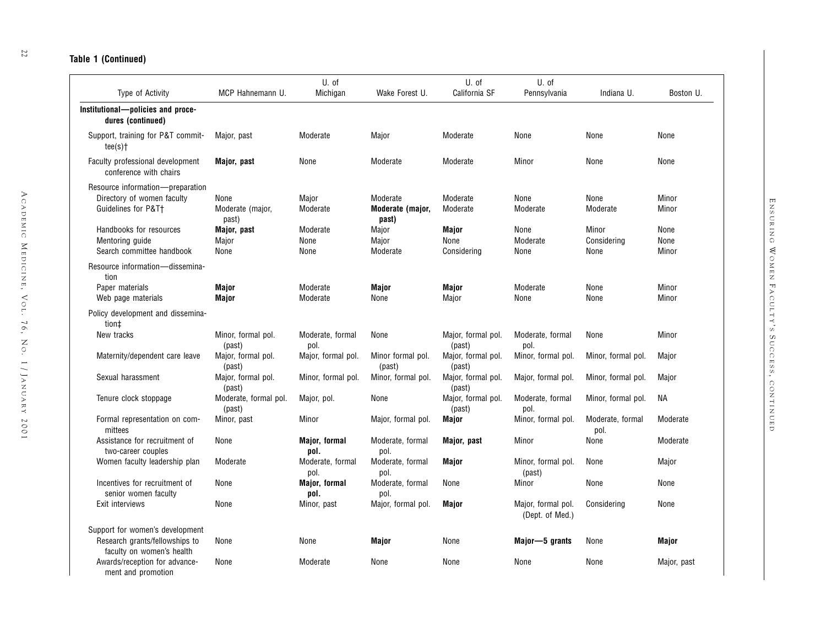| Type of Activity                                                                      | MCP Hahnemann U.                  | U. of<br>Michigan        | Wake Forest U.                        | U. of<br>California SF       | U. of<br>Pennsylvania                 | Indiana U.                   | Boston U.             |
|---------------------------------------------------------------------------------------|-----------------------------------|--------------------------|---------------------------------------|------------------------------|---------------------------------------|------------------------------|-----------------------|
| Institutional-policies and proce-<br>dures (continued)                                |                                   |                          |                                       |                              |                                       |                              |                       |
| Support, training for P&T commit-<br>$tee(s)$ †                                       | Major, past                       | Moderate                 | Major                                 | Moderate                     | None                                  | None                         | None                  |
| Faculty professional development<br>conference with chairs                            | Major, past                       | None                     | Moderate                              | Moderate                     | Minor                                 | None                         | None                  |
| Resource information-preparation<br>Directory of women faculty<br>Guidelines for P&T+ | None<br>Moderate (major,<br>past) | Major<br>Moderate        | Moderate<br>Moderate (major,<br>past) | Moderate<br>Moderate         | None<br>Moderate                      | None<br>Moderate             | Minor<br>Minor        |
| Handbooks for resources<br>Mentoring guide<br>Search committee handbook               | Major, past<br>Major<br>None      | Moderate<br>None<br>None | Major<br>Major<br>Moderate            | Major<br>None<br>Considering | None<br>Moderate<br>None              | Minor<br>Considering<br>None | None<br>None<br>Minor |
| Resource information-dissemina-<br>tion<br>Paper materials                            | <b>Major</b>                      | Moderate                 | Major                                 | <b>Major</b>                 | Moderate                              | None                         | Minor                 |
| Web page materials                                                                    | Major                             | Moderate                 | None                                  | Major                        | None                                  | None                         | Minor                 |
| Policy development and dissemina-<br>tion‡                                            |                                   |                          |                                       |                              |                                       |                              |                       |
| New tracks                                                                            | Minor, formal pol.<br>(past)      | Moderate, formal<br>pol. | None                                  | Major, formal pol.<br>(past) | Moderate, formal<br>pol.              | None                         | Minor                 |
| Maternity/dependent care leave                                                        | Major, formal pol.<br>(past)      | Major, formal pol.       | Minor formal pol.<br>(past)           | Major, formal pol.<br>(past) | Minor, formal pol.                    | Minor, formal pol.           | Major                 |
| Sexual harassment                                                                     | Major, formal pol.<br>(past)      | Minor, formal pol.       | Minor, formal pol.                    | Major, formal pol.<br>(past) | Major, formal pol.                    | Minor, formal pol.           | Major                 |
| Tenure clock stoppage                                                                 | Moderate, formal pol.<br>(past)   | Major, pol.              | None                                  | Major, formal pol.<br>(past) | Moderate, formal<br>pol.              | Minor, formal pol.           | NA                    |
| Formal representation on com-<br>mittees                                              | Minor, past                       | Minor                    | Major, formal pol.                    | Major                        | Minor, formal pol.                    | Moderate, formal<br>pol.     | Moderate              |
| Assistance for recruitment of<br>two-career couples                                   | None                              | Major, formal<br>pol.    | Moderate, formal<br>pol.              | Major, past                  | Minor                                 | None                         | Moderate              |
| Women faculty leadership plan                                                         | Moderate                          | Moderate, formal<br>pol. | Moderate, formal<br>pol.              | Major                        | Minor, formal pol.<br>(past)          | None                         | Major                 |
| Incentives for recruitment of<br>senior women faculty                                 | None                              | Major, formal<br>pol.    | Moderate, formal<br>pol.              | None                         | Minor                                 | None                         | None                  |
| Exit interviews                                                                       | None                              | Minor, past              | Major, formal pol.                    | Major                        | Major, formal pol.<br>(Dept. of Med.) | Considering                  | None                  |
| Support for women's development                                                       |                                   |                          |                                       |                              |                                       |                              |                       |
| Research grants/fellowships to<br>faculty on women's health                           | None                              | None                     | Major                                 | None                         | Major-5 grants                        | None                         | Major                 |
| Awards/reception for advance-<br>ment and promotion                                   | None                              | Moderate                 | None                                  | None                         | None                                  | None                         | Major, past           |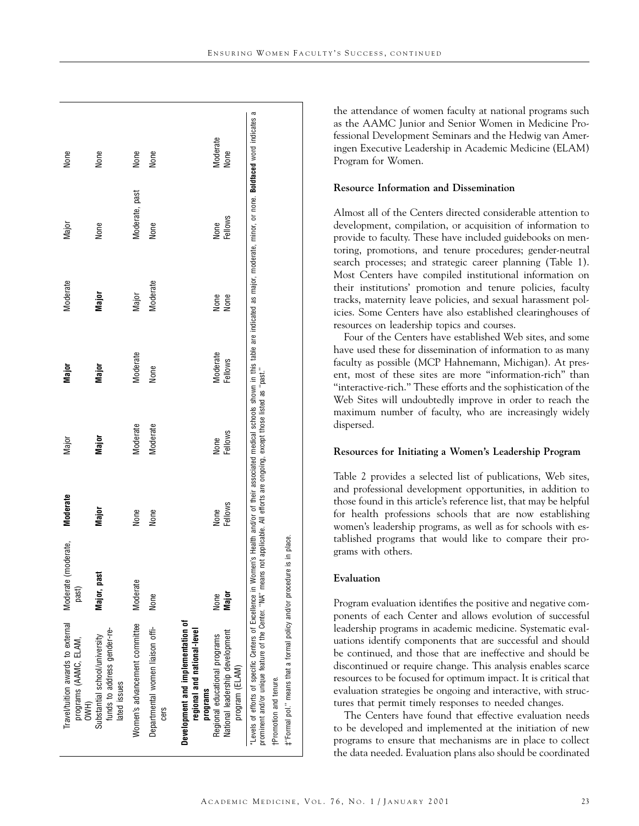| Travel/tuition awards to external<br>programs (AAMC, ELAM,<br>OWH)                                                                                                                                                                                                                                                                                                                                                                                                                                                                              | Moderate (moderate,<br>past) | Moderate                                                                                   | Major                  | Major                      | Moderate     | Major           | None             |
|-------------------------------------------------------------------------------------------------------------------------------------------------------------------------------------------------------------------------------------------------------------------------------------------------------------------------------------------------------------------------------------------------------------------------------------------------------------------------------------------------------------------------------------------------|------------------------------|--------------------------------------------------------------------------------------------|------------------------|----------------------------|--------------|-----------------|------------------|
| funds to address gender-re-<br>Substantial school/university<br>lated issues                                                                                                                                                                                                                                                                                                                                                                                                                                                                    | Major, past                  | Major                                                                                      | Major                  | Major                      | Major        | None            | None             |
| Women's advancement committee                                                                                                                                                                                                                                                                                                                                                                                                                                                                                                                   | <b>Moderate</b>              | None                                                                                       | Moderate               | Moderate                   | Major        | Moderate, past  | None             |
| Departmental women liaison offi-<br>cers                                                                                                                                                                                                                                                                                                                                                                                                                                                                                                        | None                         | None                                                                                       | Moderate               | None                       | Moderate     | None            | None             |
| "Levels of specific Centers of Excellence in Women's Health and/or of their associated medical schools shown in this table are indicated as major, moderate, minor, or none. Boldfaced word indicates a<br>#"Formal pol." means that a formal policy and/or procedure is in place.<br>prominent and/or unique feature of the Center. "NA" means<br>Development and implementation of<br>regional and national-level<br>National leadership development<br>Regional educational programs<br>program (ELAM)<br>†Promotion and tenure.<br>programs | Major<br>None                | not applicable. All efforts are ongoing, except those listed as "past."<br>Fellows<br>None | <b>Fellows</b><br>None | Moderate<br><b>Fellows</b> | None<br>None | Fellows<br>None | Moderate<br>None |
|                                                                                                                                                                                                                                                                                                                                                                                                                                                                                                                                                 |                              |                                                                                            |                        |                            |              |                 |                  |

ENSURING WOMEN FACULTY'S SUCCESS, CONTINUED

the attendance of women faculty at national programs such as the AAMC Junior and Senior Women in Medicine Professional Development Seminars and the Hedwig van Ameringen Executive Leadership in Academic Medicine (ELAM) Program for Women.

# **Resource Information and Dissemination**

Almost all of the Centers directed considerable attention to development, compilation, or acquisition of information to provide to faculty. These have included guidebooks on mentoring, promotions, and tenure procedures; gender-neutral search processes; and strategic career planning (Table 1). Most Centers have compiled institutional information on their institutions' promotion and tenure policies, faculty tracks, maternity leave policies, and sexual harassment policies. Some Centers have also established clearinghouses of resources on leadership topics and courses.

Four of the Centers have established Web sites, and some have used these for dissemination of information to as many faculty as possible (MCP Hahnemann, Michigan). At present, most of these sites are more ''information-rich'' than ''interactive-rich.'' These efforts and the sophistication of the Web Sites will undoubtedly improve in order to reach the maximum number of faculty, who are increasingly widely dispersed.

## **Resources for Initiating a Women's Leadership Program**

Table 2 provides a selected list of publications, Web sites, and professional development opportunities, in addition to those found in this article's reference list, that may be helpful for health professions schools that are now establishing women's leadership programs, as well as for schools with established programs that would like to compare their programs with others.

# **Evaluation**

Program evaluation identifies the positive and negative components of each Center and allows evolution of successful leadership programs in academic medicine. Systematic evaluations identify components that are successful and should be continued, and those that are ineffective and should be discontinued or require change. This analysis enables scarce resources to be focused for optimum impact. It is critical that evaluation strategies be ongoing and interactive, with structures that permit timely responses to needed changes.

The Centers have found that effective evaluation needs to be developed and implemented at the initiation of new programs to ensure that mechanisms are in place to collect the data needed. Evaluation plans also should be coordinated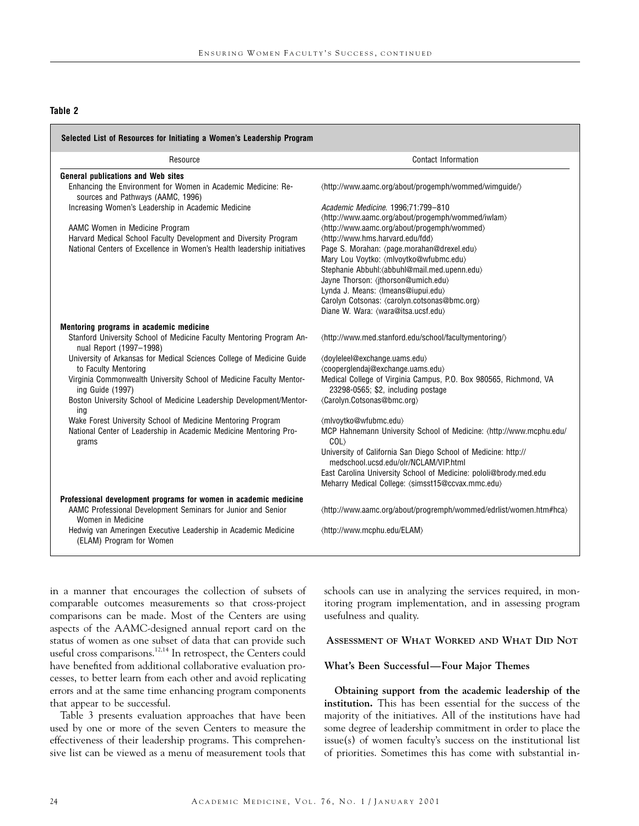## **Table 2**

| Selected List of Resources for Initiating a Women's Leadership Program                             |                                                                                                                                            |
|----------------------------------------------------------------------------------------------------|--------------------------------------------------------------------------------------------------------------------------------------------|
| Resource                                                                                           | Contact Information                                                                                                                        |
| <b>General publications and Web sites</b>                                                          |                                                                                                                                            |
| Enhancing the Environment for Women in Academic Medicine: Re-<br>sources and Pathways (AAMC, 1996) | <http: about="" progemph="" wimguide="" wommed="" www.aamc.org=""></http:>                                                                 |
| Increasing Women's Leadership in Academic Medicine                                                 | Academic Medicine. 1996;71:799-810                                                                                                         |
| AAMC Women in Medicine Program                                                                     | <http: about="" iwlam="" progemph="" wommed="" www.aamc.org=""><br/><http: about="" progemph="" wommed="" www.aamc.org=""></http:></http:> |
| Harvard Medical School Faculty Development and Diversity Program                                   | <http: fdd="" www.hms.harvard.edu=""></http:>                                                                                              |
| National Centers of Excellence in Women's Health leadership initiatives                            | Page S. Morahan: (page.morahan@drexel.edu)                                                                                                 |
|                                                                                                    | Mary Lou Voytko: (mlvoytko@wfubmc.edu)                                                                                                     |
|                                                                                                    | Stephanie Abbuhl: (abbuhl@mail.med.upenn.edu)                                                                                              |
|                                                                                                    | Jayne Thorson: (jthorson@umich.edu)<br>Lynda J. Means: (Imeans@iupui.edu)                                                                  |
|                                                                                                    | Carolyn Cotsonas: (carolyn.cotsonas@bmc.org)                                                                                               |
|                                                                                                    | Diane W. Wara: <wara@itsa.ucsf.edu></wara@itsa.ucsf.edu>                                                                                   |
| Mentoring programs in academic medicine                                                            |                                                                                                                                            |
| Stanford University School of Medicine Faculty Mentoring Program An-<br>nual Report (1997-1998)    | \http://www.med.stanford.edu/school/facultymentoring/>                                                                                     |
| University of Arkansas for Medical Sciences College of Medicine Guide                              | (doyleleel@exchange.uams.edu)                                                                                                              |
| to Faculty Mentoring                                                                               | <cooperglendaj@exchange.uams.edu></cooperglendaj@exchange.uams.edu>                                                                        |
| Virginia Commonwealth University School of Medicine Faculty Mentor-<br>ing Guide (1997)            | Medical College of Virginia Campus, P.O. Box 980565, Richmond, VA<br>23298-0565; \$2, including postage                                    |
| Boston University School of Medicine Leadership Development/Mentor-<br>ing                         | <carolyn.cotsonas@bmc.org></carolyn.cotsonas@bmc.org>                                                                                      |
| Wake Forest University School of Medicine Mentoring Program                                        | <mlvoytko@wfubmc.edu></mlvoytko@wfubmc.edu>                                                                                                |
| National Center of Leadership in Academic Medicine Mentoring Pro-<br>grams                         | MCP Hahnemann University School of Medicine: <ahttp: <br="" www.mcphu.edu="">COL&gt;</ahttp:>                                              |
|                                                                                                    | University of California San Diego School of Medicine: http://<br>medschool.ucsd.edu/olr/NCLAM/VIP.html                                    |
|                                                                                                    | East Carolina University School of Medicine: pololi@brody.med.edu                                                                          |
|                                                                                                    | Meharry Medical College: (simsst15@ccvax.mmc.edu)                                                                                          |
| Professional development programs for women in academic medicine                                   |                                                                                                                                            |
| AAMC Professional Development Seminars for Junior and Senior<br>Women in Medicine                  | <http: about="" edrlist="" progremph="" women.htm#hca="" wommed="" www.aamc.org=""></http:>                                                |
| Hedwig van Ameringen Executive Leadership in Academic Medicine<br>(ELAM) Program for Women         | <http: elam="" www.mcphu.edu=""></http:>                                                                                                   |
|                                                                                                    |                                                                                                                                            |

in a manner that encourages the collection of subsets of comparable outcomes measurements so that cross-project comparisons can be made. Most of the Centers are using aspects of the AAMC-designed annual report card on the status of women as one subset of data that can provide such useful cross comparisons.<sup>12,14</sup> In retrospect, the Centers could have benefited from additional collaborative evaluation processes, to better learn from each other and avoid replicating errors and at the same time enhancing program components that appear to be successful.

Table 3 presents evaluation approaches that have been used by one or more of the seven Centers to measure the effectiveness of their leadership programs. This comprehensive list can be viewed as a menu of measurement tools that schools can use in analyzing the services required, in monitoring program implementation, and in assessing program usefulness and quality.

#### **ASSESSMENT OF WHAT WORKED AND WHAT DID NOT**

# **What's Been Successful—Four Major Themes**

**Obtaining support from the academic leadership of the institution.** This has been essential for the success of the majority of the initiatives. All of the institutions have had some degree of leadership commitment in order to place the issue(s) of women faculty's success on the institutional list of priorities. Sometimes this has come with substantial in-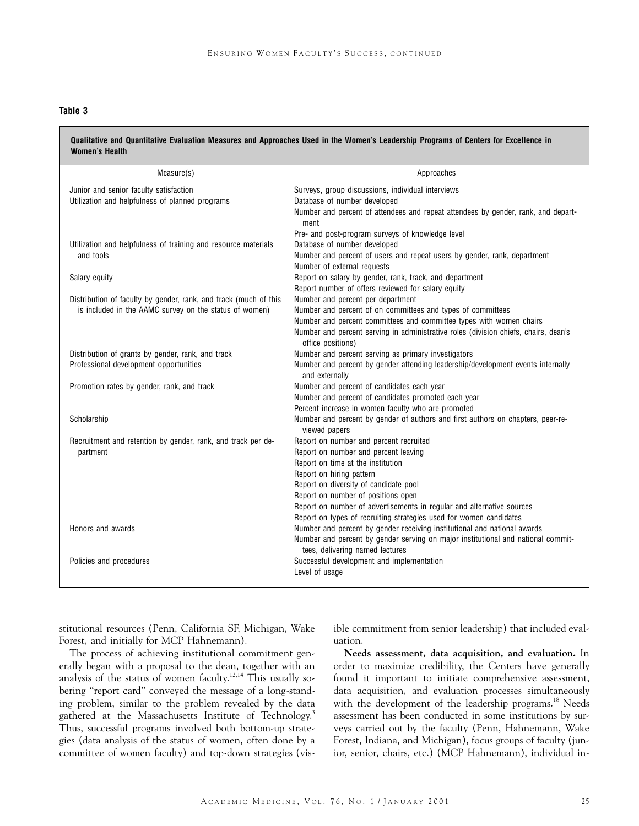#### **Table 3**

**Qualitative and Quantitative Evaluation Measures and Approaches Used in the Women's Leadership Programs of Centers for Excellence in Women's Health**

| Measure(s)                                                       | Approaches                                                                                                                                  |
|------------------------------------------------------------------|---------------------------------------------------------------------------------------------------------------------------------------------|
| Junior and senior faculty satisfaction                           | Surveys, group discussions, individual interviews                                                                                           |
| Utilization and helpfulness of planned programs                  | Database of number developed                                                                                                                |
|                                                                  | Number and percent of attendees and repeat attendees by gender, rank, and depart-                                                           |
|                                                                  | ment                                                                                                                                        |
|                                                                  | Pre- and post-program surveys of knowledge level                                                                                            |
| Utilization and helpfulness of training and resource materials   | Database of number developed                                                                                                                |
| and tools                                                        | Number and percent of users and repeat users by gender, rank, department<br>Number of external requests                                     |
| Salary equity                                                    | Report on salary by gender, rank, track, and department                                                                                     |
|                                                                  | Report number of offers reviewed for salary equity                                                                                          |
| Distribution of faculty by gender, rank, and track (much of this | Number and percent per department                                                                                                           |
| is included in the AAMC survey on the status of women)           | Number and percent of on committees and types of committees                                                                                 |
|                                                                  | Number and percent committees and committee types with women chairs                                                                         |
|                                                                  | Number and percent serving in administrative roles (division chiefs, chairs, dean's<br>office positions)                                    |
| Distribution of grants by gender, rank, and track                | Number and percent serving as primary investigators                                                                                         |
| Professional development opportunities                           | Number and percent by gender attending leadership/development events internally<br>and externally                                           |
| Promotion rates by gender, rank, and track                       | Number and percent of candidates each year                                                                                                  |
|                                                                  | Number and percent of candidates promoted each year                                                                                         |
|                                                                  | Percent increase in women faculty who are promoted                                                                                          |
| Scholarship                                                      | Number and percent by gender of authors and first authors on chapters, peer-re-<br>viewed papers                                            |
| Recruitment and retention by gender, rank, and track per de-     | Report on number and percent recruited                                                                                                      |
| partment                                                         | Report on number and percent leaving                                                                                                        |
|                                                                  | Report on time at the institution                                                                                                           |
|                                                                  | Report on hiring pattern                                                                                                                    |
|                                                                  | Report on diversity of candidate pool                                                                                                       |
|                                                                  | Report on number of positions open                                                                                                          |
|                                                                  | Report on number of advertisements in regular and alternative sources<br>Report on types of recruiting strategies used for women candidates |
| Honors and awards                                                | Number and percent by gender receiving institutional and national awards                                                                    |
|                                                                  | Number and percent by gender serving on major institutional and national commit-                                                            |
|                                                                  | tees, delivering named lectures                                                                                                             |
| Policies and procedures                                          | Successful development and implementation                                                                                                   |
|                                                                  | Level of usage                                                                                                                              |
|                                                                  |                                                                                                                                             |

stitutional resources (Penn, California SF, Michigan, Wake Forest, and initially for MCP Hahnemann).

The process of achieving institutional commitment generally began with a proposal to the dean, together with an analysis of the status of women faculty.12,14 This usually sobering "report card" conveyed the message of a long-standing problem, similar to the problem revealed by the data gathered at the Massachusetts Institute of Technology.<sup>3</sup> Thus, successful programs involved both bottom-up strategies (data analysis of the status of women, often done by a committee of women faculty) and top-down strategies (visible commitment from senior leadership) that included evaluation.

**Needs assessment, data acquisition, and evaluation.** In order to maximize credibility, the Centers have generally found it important to initiate comprehensive assessment, data acquisition, and evaluation processes simultaneously with the development of the leadership programs.<sup>18</sup> Needs assessment has been conducted in some institutions by surveys carried out by the faculty (Penn, Hahnemann, Wake Forest, Indiana, and Michigan), focus groups of faculty (junior, senior, chairs, etc.) (MCP Hahnemann), individual in-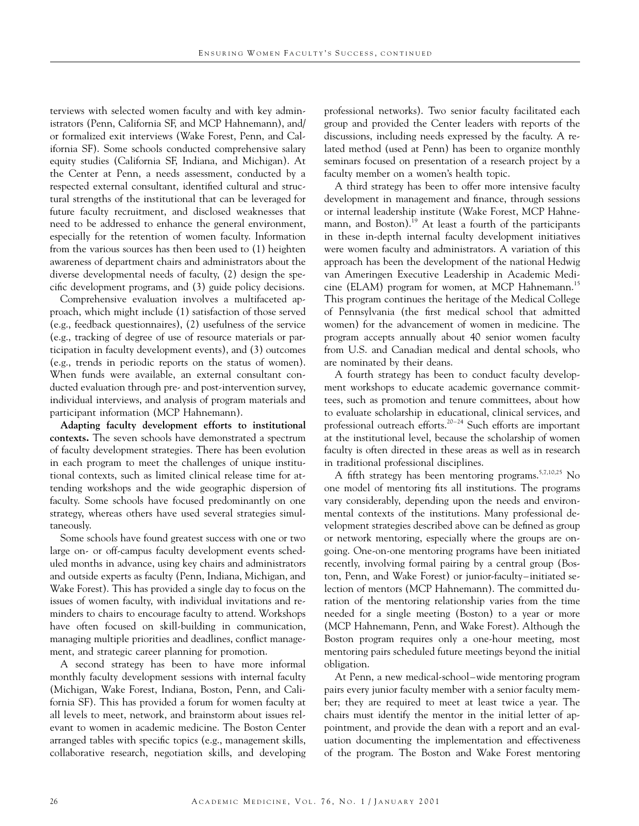terviews with selected women faculty and with key administrators (Penn, California SF, and MCP Hahnemann), and/ or formalized exit interviews (Wake Forest, Penn, and California SF). Some schools conducted comprehensive salary equity studies (California SF, Indiana, and Michigan). At the Center at Penn, a needs assessment, conducted by a respected external consultant, identified cultural and structural strengths of the institutional that can be leveraged for future faculty recruitment, and disclosed weaknesses that need to be addressed to enhance the general environment, especially for the retention of women faculty. Information from the various sources has then been used to (1) heighten awareness of department chairs and administrators about the diverse developmental needs of faculty, (2) design the specific development programs, and (3) guide policy decisions.

Comprehensive evaluation involves a multifaceted approach, which might include (1) satisfaction of those served (e.g., feedback questionnaires), (2) usefulness of the service (e.g., tracking of degree of use of resource materials or participation in faculty development events), and (3) outcomes (e.g., trends in periodic reports on the status of women). When funds were available, an external consultant conducted evaluation through pre- and post-intervention survey, individual interviews, and analysis of program materials and participant information (MCP Hahnemann).

**Adapting faculty development efforts to institutional contexts.** The seven schools have demonstrated a spectrum of faculty development strategies. There has been evolution in each program to meet the challenges of unique institutional contexts, such as limited clinical release time for attending workshops and the wide geographic dispersion of faculty. Some schools have focused predominantly on one strategy, whereas others have used several strategies simultaneously.

Some schools have found greatest success with one or two large on- or off-campus faculty development events scheduled months in advance, using key chairs and administrators and outside experts as faculty (Penn, Indiana, Michigan, and Wake Forest). This has provided a single day to focus on the issues of women faculty, with individual invitations and reminders to chairs to encourage faculty to attend. Workshops have often focused on skill-building in communication, managing multiple priorities and deadlines, conflict management, and strategic career planning for promotion.

A second strategy has been to have more informal monthly faculty development sessions with internal faculty (Michigan, Wake Forest, Indiana, Boston, Penn, and California SF). This has provided a forum for women faculty at all levels to meet, network, and brainstorm about issues relevant to women in academic medicine. The Boston Center arranged tables with specific topics (e.g., management skills, collaborative research, negotiation skills, and developing professional networks). Two senior faculty facilitated each group and provided the Center leaders with reports of the discussions, including needs expressed by the faculty. A related method (used at Penn) has been to organize monthly seminars focused on presentation of a research project by a faculty member on a women's health topic.

A third strategy has been to offer more intensive faculty development in management and finance, through sessions or internal leadership institute (Wake Forest, MCP Hahnemann, and Boston).<sup>19</sup> At least a fourth of the participants in these in-depth internal faculty development initiatives were women faculty and administrators. A variation of this approach has been the development of the national Hedwig van Ameringen Executive Leadership in Academic Medicine (ELAM) program for women, at MCP Hahnemann.<sup>15</sup> This program continues the heritage of the Medical College of Pennsylvania (the first medical school that admitted women) for the advancement of women in medicine. The program accepts annually about 40 senior women faculty from U.S. and Canadian medical and dental schools, who are nominated by their deans.

A fourth strategy has been to conduct faculty development workshops to educate academic governance committees, such as promotion and tenure committees, about how to evaluate scholarship in educational, clinical services, and professional outreach efforts.20–24 Such efforts are important at the institutional level, because the scholarship of women faculty is often directed in these areas as well as in research in traditional professional disciplines.

A fifth strategy has been mentoring programs.5,7,10,25 No one model of mentoring fits all institutions. The programs vary considerably, depending upon the needs and environmental contexts of the institutions. Many professional development strategies described above can be defined as group or network mentoring, especially where the groups are ongoing. One-on-one mentoring programs have been initiated recently, involving formal pairing by a central group (Boston, Penn, and Wake Forest) or junior-faculty–initiated selection of mentors (MCP Hahnemann). The committed duration of the mentoring relationship varies from the time needed for a single meeting (Boston) to a year or more (MCP Hahnemann, Penn, and Wake Forest). Although the Boston program requires only a one-hour meeting, most mentoring pairs scheduled future meetings beyond the initial obligation.

At Penn, a new medical-school–wide mentoring program pairs every junior faculty member with a senior faculty member; they are required to meet at least twice a year. The chairs must identify the mentor in the initial letter of appointment, and provide the dean with a report and an evaluation documenting the implementation and effectiveness of the program. The Boston and Wake Forest mentoring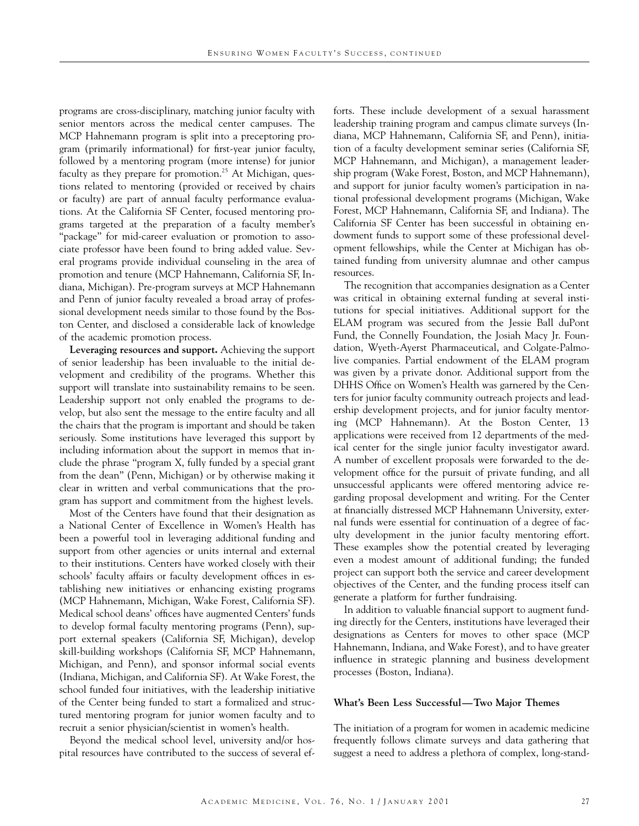programs are cross-disciplinary, matching junior faculty with senior mentors across the medical center campuses. The MCP Hahnemann program is split into a preceptoring program (primarily informational) for first-year junior faculty, followed by a mentoring program (more intense) for junior faculty as they prepare for promotion.<sup>25</sup> At Michigan, questions related to mentoring (provided or received by chairs or faculty) are part of annual faculty performance evaluations. At the California SF Center, focused mentoring programs targeted at the preparation of a faculty member's "package" for mid-career evaluation or promotion to associate professor have been found to bring added value. Several programs provide individual counseling in the area of promotion and tenure (MCP Hahnemann, California SF, Indiana, Michigan). Pre-program surveys at MCP Hahnemann and Penn of junior faculty revealed a broad array of professional development needs similar to those found by the Boston Center, and disclosed a considerable lack of knowledge of the academic promotion process.

**Leveraging resources and support.** Achieving the support of senior leadership has been invaluable to the initial development and credibility of the programs. Whether this support will translate into sustainability remains to be seen. Leadership support not only enabled the programs to develop, but also sent the message to the entire faculty and all the chairs that the program is important and should be taken seriously. Some institutions have leveraged this support by including information about the support in memos that include the phrase ''program X, fully funded by a special grant from the dean'' (Penn, Michigan) or by otherwise making it clear in written and verbal communications that the program has support and commitment from the highest levels.

Most of the Centers have found that their designation as a National Center of Excellence in Women's Health has been a powerful tool in leveraging additional funding and support from other agencies or units internal and external to their institutions. Centers have worked closely with their schools' faculty affairs or faculty development offices in establishing new initiatives or enhancing existing programs (MCP Hahnemann, Michigan, Wake Forest, California SF). Medical school deans' offices have augmented Centers' funds to develop formal faculty mentoring programs (Penn), support external speakers (California SF, Michigan), develop skill-building workshops (California SF, MCP Hahnemann, Michigan, and Penn), and sponsor informal social events (Indiana, Michigan, and California SF). At Wake Forest, the school funded four initiatives, with the leadership initiative of the Center being funded to start a formalized and structured mentoring program for junior women faculty and to recruit a senior physician/scientist in women's health.

Beyond the medical school level, university and/or hospital resources have contributed to the success of several efforts. These include development of a sexual harassment leadership training program and campus climate surveys (Indiana, MCP Hahnemann, California SF, and Penn), initiation of a faculty development seminar series (California SF, MCP Hahnemann, and Michigan), a management leadership program (Wake Forest, Boston, and MCP Hahnemann), and support for junior faculty women's participation in national professional development programs (Michigan, Wake Forest, MCP Hahnemann, California SF, and Indiana). The California SF Center has been successful in obtaining endowment funds to support some of these professional development fellowships, while the Center at Michigan has obtained funding from university alumnae and other campus resources.

The recognition that accompanies designation as a Center was critical in obtaining external funding at several institutions for special initiatives. Additional support for the ELAM program was secured from the Jessie Ball duPont Fund, the Connelly Foundation, the Josiah Macy Jr. Foundation, Wyeth-Ayerst Pharmaceutical, and Colgate-Palmolive companies. Partial endowment of the ELAM program was given by a private donor. Additional support from the DHHS Office on Women's Health was garnered by the Centers for junior faculty community outreach projects and leadership development projects, and for junior faculty mentoring (MCP Hahnemann). At the Boston Center, 13 applications were received from 12 departments of the medical center for the single junior faculty investigator award. A number of excellent proposals were forwarded to the development office for the pursuit of private funding, and all unsuccessful applicants were offered mentoring advice regarding proposal development and writing. For the Center at financially distressed MCP Hahnemann University, external funds were essential for continuation of a degree of faculty development in the junior faculty mentoring effort. These examples show the potential created by leveraging even a modest amount of additional funding; the funded project can support both the service and career development objectives of the Center, and the funding process itself can generate a platform for further fundraising.

In addition to valuable financial support to augment funding directly for the Centers, institutions have leveraged their designations as Centers for moves to other space (MCP Hahnemann, Indiana, and Wake Forest), and to have greater influence in strategic planning and business development processes (Boston, Indiana).

## **What's Been Less Successful—Two Major Themes**

The initiation of a program for women in academic medicine frequently follows climate surveys and data gathering that suggest a need to address a plethora of complex, long-stand-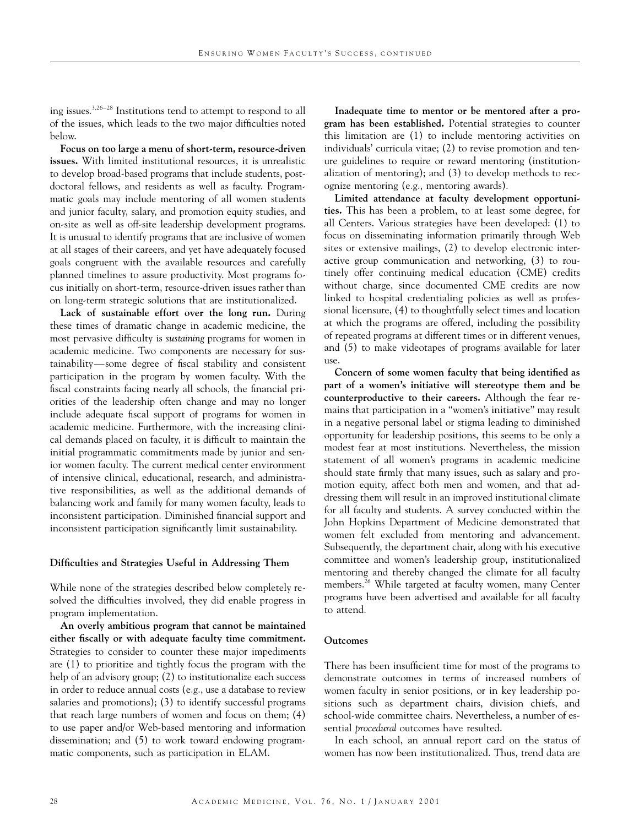ing issues.3,26–28 Institutions tend to attempt to respond to all of the issues, which leads to the two major difficulties noted below.

**Focus on too large a menu of short-term, resource-driven issues.** With limited institutional resources, it is unrealistic to develop broad-based programs that include students, postdoctoral fellows, and residents as well as faculty. Programmatic goals may include mentoring of all women students and junior faculty, salary, and promotion equity studies, and on-site as well as off-site leadership development programs. It is unusual to identify programs that are inclusive of women at all stages of their careers, and yet have adequately focused goals congruent with the available resources and carefully planned timelines to assure productivity. Most programs focus initially on short-term, resource-driven issues rather than on long-term strategic solutions that are institutionalized.

**Lack of sustainable effort over the long run.** During these times of dramatic change in academic medicine, the most pervasive difficulty is *sustaining* programs for women in academic medicine. Two components are necessary for sustainability—some degree of fiscal stability and consistent participation in the program by women faculty. With the fiscal constraints facing nearly all schools, the financial priorities of the leadership often change and may no longer include adequate fiscal support of programs for women in academic medicine. Furthermore, with the increasing clinical demands placed on faculty, it is difficult to maintain the initial programmatic commitments made by junior and senior women faculty. The current medical center environment of intensive clinical, educational, research, and administrative responsibilities, as well as the additional demands of balancing work and family for many women faculty, leads to inconsistent participation. Diminished financial support and inconsistent participation significantly limit sustainability.

#### **Difficulties and Strategies Useful in Addressing Them**

While none of the strategies described below completely resolved the difficulties involved, they did enable progress in program implementation.

**An overly ambitious program that cannot be maintained either fiscally or with adequate faculty time commitment.** Strategies to consider to counter these major impediments are (1) to prioritize and tightly focus the program with the help of an advisory group; (2) to institutionalize each success in order to reduce annual costs (e.g., use a database to review salaries and promotions); (3) to identify successful programs that reach large numbers of women and focus on them; (4) to use paper and/or Web-based mentoring and information dissemination; and (5) to work toward endowing programmatic components, such as participation in ELAM.

**Inadequate time to mentor or be mentored after a program has been established.** Potential strategies to counter this limitation are (1) to include mentoring activities on individuals' curricula vitae; (2) to revise promotion and tenure guidelines to require or reward mentoring (institutionalization of mentoring); and (3) to develop methods to recognize mentoring (e.g., mentoring awards).

**Limited attendance at faculty development opportunities.** This has been a problem, to at least some degree, for all Centers. Various strategies have been developed: (1) to focus on disseminating information primarily through Web sites or extensive mailings, (2) to develop electronic interactive group communication and networking, (3) to routinely offer continuing medical education (CME) credits without charge, since documented CME credits are now linked to hospital credentialing policies as well as professional licensure, (4) to thoughtfully select times and location at which the programs are offered, including the possibility of repeated programs at different times or in different venues, and (5) to make videotapes of programs available for later use.

**Concern of some women faculty that being identified as part of a women's initiative will stereotype them and be counterproductive to their careers.** Although the fear remains that participation in a ''women's initiative'' may result in a negative personal label or stigma leading to diminished opportunity for leadership positions, this seems to be only a modest fear at most institutions. Nevertheless, the mission statement of all women's programs in academic medicine should state firmly that many issues, such as salary and promotion equity, affect both men and women, and that addressing them will result in an improved institutional climate for all faculty and students. A survey conducted within the John Hopkins Department of Medicine demonstrated that women felt excluded from mentoring and advancement. Subsequently, the department chair, along with his executive committee and women's leadership group, institutionalized mentoring and thereby changed the climate for all faculty members.<sup>26</sup> While targeted at faculty women, many Center programs have been advertised and available for all faculty to attend.

#### **Outcomes**

There has been insufficient time for most of the programs to demonstrate outcomes in terms of increased numbers of women faculty in senior positions, or in key leadership positions such as department chairs, division chiefs, and school-wide committee chairs. Nevertheless, a number of essential *procedural* outcomes have resulted.

In each school, an annual report card on the status of women has now been institutionalized. Thus, trend data are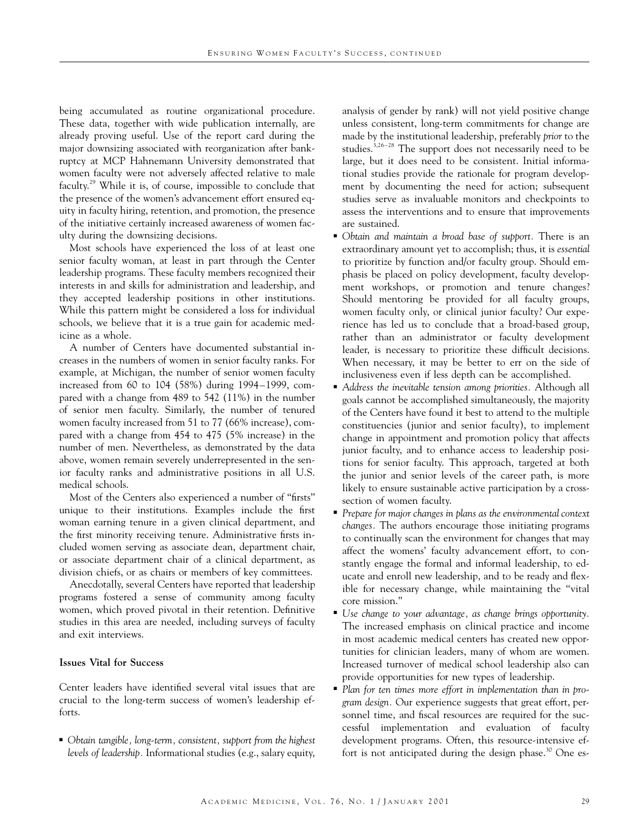being accumulated as routine organizational procedure. These data, together with wide publication internally, are already proving useful. Use of the report card during the major downsizing associated with reorganization after bankruptcy at MCP Hahnemann University demonstrated that women faculty were not adversely affected relative to male faculty.29 While it is, of course, impossible to conclude that the presence of the women's advancement effort ensured equity in faculty hiring, retention, and promotion, the presence of the initiative certainly increased awareness of women faculty during the downsizing decisions.

Most schools have experienced the loss of at least one senior faculty woman, at least in part through the Center leadership programs. These faculty members recognized their interests in and skills for administration and leadership, and they accepted leadership positions in other institutions. While this pattern might be considered a loss for individual schools, we believe that it is a true gain for academic medicine as a whole.

A number of Centers have documented substantial increases in the numbers of women in senior faculty ranks. For example, at Michigan, the number of senior women faculty increased from 60 to 104 (58%) during 1994–1999, compared with a change from 489 to 542 (11%) in the number of senior men faculty. Similarly, the number of tenured women faculty increased from 51 to 77 (66% increase), compared with a change from 454 to 475 (5% increase) in the number of men. Nevertheless, as demonstrated by the data above, women remain severely underrepresented in the senior faculty ranks and administrative positions in all U.S. medical schools.

Most of the Centers also experienced a number of ''firsts'' unique to their institutions. Examples include the first woman earning tenure in a given clinical department, and the first minority receiving tenure. Administrative firsts included women serving as associate dean, department chair, or associate department chair of a clinical department, as division chiefs, or as chairs or members of key committees.

Anecdotally, several Centers have reported that leadership programs fostered a sense of community among faculty women, which proved pivotal in their retention. Definitive studies in this area are needed, including surveys of faculty and exit interviews.

# **Issues Vital for Success**

Center leaders have identified several vital issues that are crucial to the long-term success of women's leadership efforts.

■ Obtain tangible, long-term, consistent, support from the highest *levels of leadership.* Informational studies (e.g., salary equity, analysis of gender by rank) will not yield positive change unless consistent, long-term commitments for change are made by the institutional leadership, preferably *prior* to the studies.<sup>3,26–28</sup> The support does not necessarily need to be large, but it does need to be consistent. Initial informational studies provide the rationale for program development by documenting the need for action; subsequent studies serve as invaluable monitors and checkpoints to assess the interventions and to ensure that improvements are sustained.

- <sup>n</sup> *Obtain and maintain a broad base of support.* There is an extraordinary amount yet to accomplish; thus, it is *essential* to prioritize by function and/or faculty group. Should emphasis be placed on policy development, faculty development workshops, or promotion and tenure changes? Should mentoring be provided for all faculty groups, women faculty only, or clinical junior faculty? Our experience has led us to conclude that a broad-based group, rather than an administrator or faculty development leader, is necessary to prioritize these difficult decisions. When necessary, it may be better to err on the side of inclusiveness even if less depth can be accomplished.
- <sup>n</sup> *Address the inevitable tension among priorities.* Although all goals cannot be accomplished simultaneously, the majority of the Centers have found it best to attend to the multiple constituencies (junior and senior faculty), to implement change in appointment and promotion policy that affects junior faculty, and to enhance access to leadership positions for senior faculty. This approach, targeted at both the junior and senior levels of the career path, is more likely to ensure sustainable active participation by a crosssection of women faculty.
- <sup>n</sup> *Prepare for major changes in plans as the environmental context changes.* The authors encourage those initiating programs to continually scan the environment for changes that may affect the womens' faculty advancement effort, to constantly engage the formal and informal leadership, to educate and enroll new leadership, and to be ready and flexible for necessary change, while maintaining the ''vital core mission.''
- <sup>n</sup> *Use change to your advantage, as change brings opportunity.* The increased emphasis on clinical practice and income in most academic medical centers has created new opportunities for clinician leaders, many of whom are women. Increased turnover of medical school leadership also can provide opportunities for new types of leadership.
- Plan for ten times more effort in implementation than in pro*gram design.* Our experience suggests that great effort, personnel time, and fiscal resources are required for the successful implementation and evaluation of faculty development programs. Often, this resource-intensive effort is not anticipated during the design phase.<sup>30</sup> One es-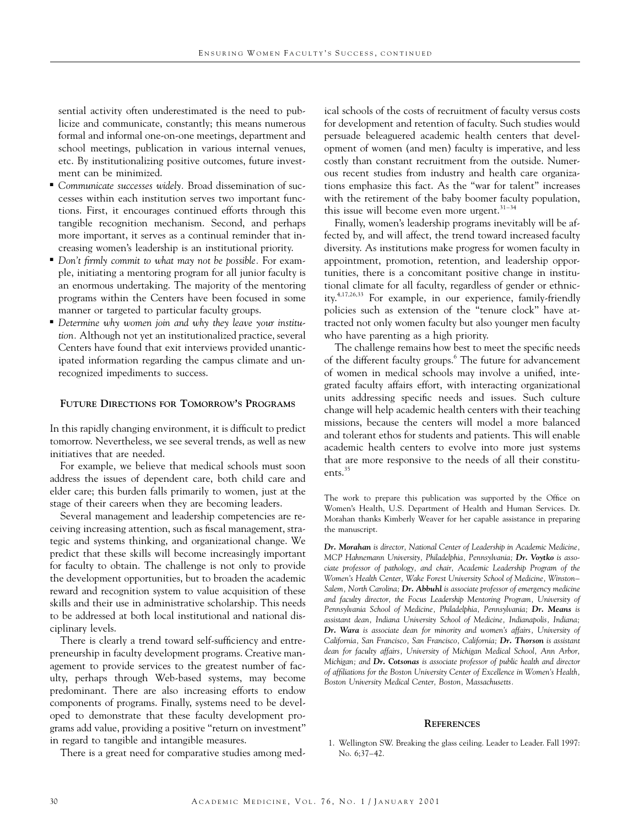sential activity often underestimated is the need to publicize and communicate, constantly; this means numerous formal and informal one-on-one meetings, department and school meetings, publication in various internal venues, etc. By institutionalizing positive outcomes, future investment can be minimized.

- <sup>n</sup> *Communicate successes widely.* Broad dissemination of successes within each institution serves two important functions. First, it encourages continued efforts through this tangible recognition mechanism. Second, and perhaps more important, it serves as a continual reminder that increasing women's leadership is an institutional priority.
- <sup>n</sup> *Don't firmly commit to what may not be possible.* For example, initiating a mentoring program for all junior faculty is an enormous undertaking. The majority of the mentoring programs within the Centers have been focused in some manner or targeted to particular faculty groups.
- Determine why women join and why they leave your institu*tion.* Although not yet an institutionalized practice, several Centers have found that exit interviews provided unanticipated information regarding the campus climate and unrecognized impediments to success.

#### **FUTURE DIRECTIONS FOR TOMORROW'S PROGRAMS**

In this rapidly changing environment, it is difficult to predict tomorrow. Nevertheless, we see several trends, as well as new initiatives that are needed.

For example, we believe that medical schools must soon address the issues of dependent care, both child care and elder care; this burden falls primarily to women, just at the stage of their careers when they are becoming leaders.

Several management and leadership competencies are receiving increasing attention, such as fiscal management, strategic and systems thinking, and organizational change. We predict that these skills will become increasingly important for faculty to obtain. The challenge is not only to provide the development opportunities, but to broaden the academic reward and recognition system to value acquisition of these skills and their use in administrative scholarship. This needs to be addressed at both local institutional and national disciplinary levels.

There is clearly a trend toward self-sufficiency and entrepreneurship in faculty development programs. Creative management to provide services to the greatest number of faculty, perhaps through Web-based systems, may become predominant. There are also increasing efforts to endow components of programs. Finally, systems need to be developed to demonstrate that these faculty development programs add value, providing a positive ''return on investment'' in regard to tangible and intangible measures.

There is a great need for comparative studies among med-

ical schools of the costs of recruitment of faculty versus costs for development and retention of faculty. Such studies would persuade beleaguered academic health centers that development of women (and men) faculty is imperative, and less costly than constant recruitment from the outside. Numerous recent studies from industry and health care organizations emphasize this fact. As the ''war for talent'' increases with the retirement of the baby boomer faculty population, this issue will become even more urgent.<sup>31-34</sup>

Finally, women's leadership programs inevitably will be affected by, and will affect, the trend toward increased faculty diversity. As institutions make progress for women faculty in appointment, promotion, retention, and leadership opportunities, there is a concomitant positive change in institutional climate for all faculty, regardless of gender or ethnicity.4,17,26,33 For example, in our experience, family-friendly policies such as extension of the ''tenure clock'' have attracted not only women faculty but also younger men faculty who have parenting as a high priority.

The challenge remains how best to meet the specific needs of the different faculty groups.6 The future for advancement of women in medical schools may involve a unified, integrated faculty affairs effort, with interacting organizational units addressing specific needs and issues. Such culture change will help academic health centers with their teaching missions, because the centers will model a more balanced and tolerant ethos for students and patients. This will enable academic health centers to evolve into more just systems that are more responsive to the needs of all their constituents.<sup>35</sup>

The work to prepare this publication was supported by the Office on Women's Health, U.S. Department of Health and Human Services. Dr. Morahan thanks Kimberly Weaver for her capable assistance in preparing the manuscript.

*Dr. Morahan is director, National Center of Leadership in Academic Medicine, MCP Hahnemann University, Philadelphia, Pennsylvania; Dr. Voytko is associate professor of pathology, and chair, Academic Leadership Program of the Women's Health Center, Wake Forest University School of Medicine, Winston– Salem, North Carolina; Dr. Abbuhl is associate professor of emergency medicine and faculty director, the Focus Leadership Mentoring Program, University of Pennsylvania School of Medicine, Philadelphia, Pennsylvania; Dr. Means is assistant dean, Indiana University School of Medicine, Indianapolis, Indiana; Dr. Wara is associate dean for minority and women's affairs, University of California, San Francisco, San Francisco, California; Dr. Thorson is assistant dean for faculty affairs, University of Michigan Medical School, Ann Arbor, Michigan; and Dr. Cotsonas is associate professor of public health and director of affiliations for the Boston University Center of Excellence in Women's Health, Boston University Medical Center, Boston, Massachusetts.*

#### **REFERENCES**

1. Wellington SW. Breaking the glass ceiling. Leader to Leader. Fall 1997: No. 6;37–42.